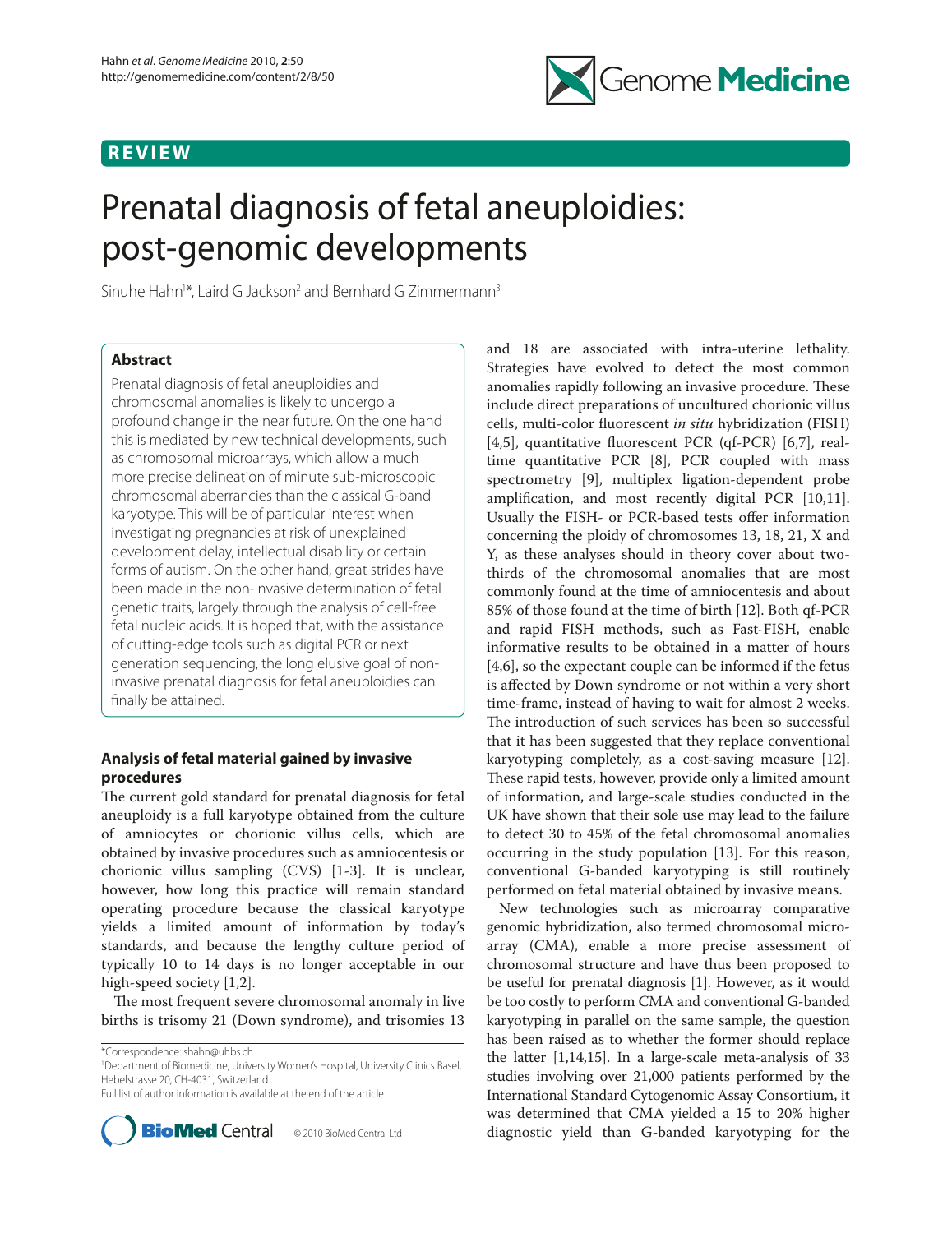## **REVIEW**



# Prenatal diagnosis of fetal aneuploidies: post-genomic developments

Sinuhe Hahn<sup>1\*</sup>, Laird G Jackson<sup>2</sup> and Bernhard G Zimmermann<sup>3</sup>

## **Abstract**

Prenatal diagnosis of fetal aneuploidies and chromosomal anomalies is likely to undergo a profound change in the near future. On the one hand this is mediated by new technical developments, such as chromosomal microarrays, which allow a much more precise delineation of minute sub-microscopic chromosomal aberrancies than the classical G-band karyotype. This will be of particular interest when investigating pregnancies at risk of unexplained development delay, intellectual disability or certain forms of autism. On the other hand, great strides have been made in the non-invasive determination of fetal genetic traits, largely through the analysis of cell-free fetal nucleic acids. It is hoped that, with the assistance of cutting-edge tools such as digital PCR or next generation sequencing, the long elusive goal of noninvasive prenatal diagnosis for fetal aneuploidies can finally be attained.

## **Analysis of fetal material gained by invasive procedures**

The current gold standard for prenatal diagnosis for fetal aneuploidy is a full karyotype obtained from the culture of amniocytes or chorionic villus cells, which are obtained by invasive procedures such as amniocentesis or chorionic villus sampling (CVS) [1-3]. It is unclear, however, how long this practice will remain standard operating procedure because the classical karyotype yields a limited amount of information by today's standards, and because the lengthy culture period of typically 10 to 14 days is no longer acceptable in our high-speed society [1,2].

The most frequent severe chromosomal anomaly in live births is trisomy 21 (Down syndrome), and trisomies 13

\*Correspondence: shahn@uhbs.ch

1 Department of Biomedicine, University Women's Hospital, University Clinics Basel, Hebelstrasse 20, CH-4031, Switzerland

Full list of author information is available at the end of the article



and 18 are associated with intra-uterine lethality. Strategies have evolved to detect the most common anomalies rapidly following an invasive procedure. These include direct preparations of uncultured chorionic villus cells, multi-color fluorescent *in situ* hybridization (FISH) [4,5], quantitative fluorescent PCR (qf-PCR) [6,7], realtime quantitative PCR [8], PCR coupled with mass spectrometry [9], multiplex ligation-dependent probe amplification, and most recently digital PCR [10,11]. Usually the FISH- or PCR-based tests offer information concerning the ploidy of chromosomes 13, 18, 21, X and Y, as these analyses should in theory cover about twothirds of the chromosomal anomalies that are most commonly found at the time of amniocentesis and about 85% of those found at the time of birth [12]. Both qf-PCR and rapid FISH methods, such as Fast-FISH, enable informative results to be obtained in a matter of hours [4,6], so the expectant couple can be informed if the fetus is affected by Down syndrome or not within a very short time-frame, instead of having to wait for almost 2 weeks. The introduction of such services has been so successful that it has been suggested that they replace conventional karyotyping completely, as a cost-saving measure [12]. These rapid tests, however, provide only a limited amount of information, and large-scale studies conducted in the UK have shown that their sole use may lead to the failure to detect 30 to 45% of the fetal chromosomal anomalies occurring in the study population [13]. For this reason, conventional G-banded karyotyping is still routinely performed on fetal material obtained by invasive means.

New technologies such as microarray comparative genomic hybridization, also termed chromosomal microarray (CMA), enable a more precise assessment of chromosomal structure and have thus been proposed to be useful for prenatal diagnosis [1]. However, as it would be too costly to perform CMA and conventional G-banded karyotyping in parallel on the same sample, the question has been raised as to whether the former should replace the latter [1,14,15]. In a large-scale meta-analysis of 33 studies involving over 21,000 patients performed by the International Standard Cytogenomic Assay Consortium, it was determined that CMA yielded a 15 to 20% higher diagnostic yield than G-banded karyotyping for the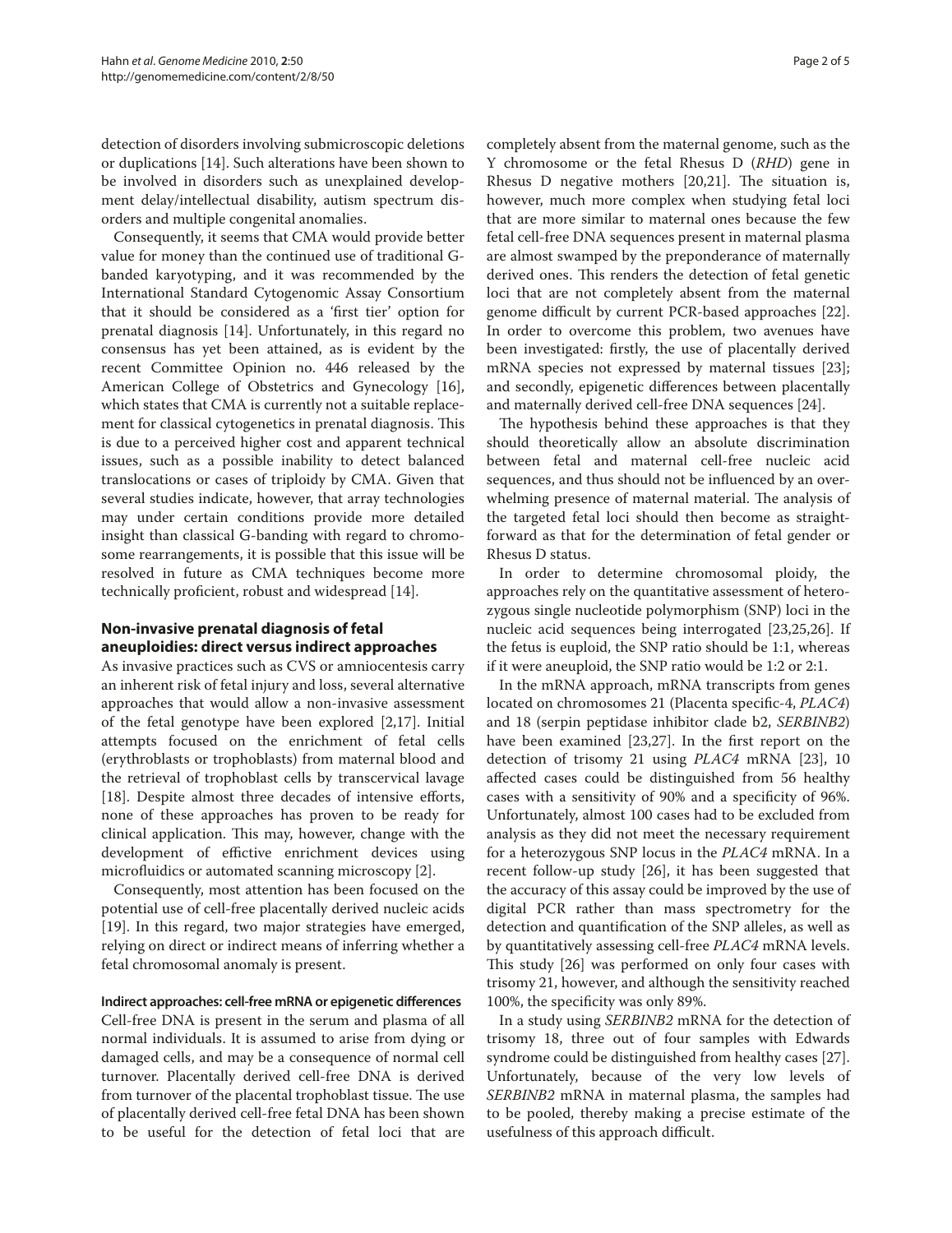detection of disorders involving submicroscopic deletions or duplications [14]. Such alterations have been shown to be involved in disorders such as unexplained development delay/intellectual disability, autism spectrum disorders and multiple congenital anomalies.

Consequently, it seems that CMA would provide better value for money than the continued use of traditional Gbanded karyotyping, and it was recommended by the International Standard Cytogenomic Assay Consortium that it should be considered as a 'first tier' option for prenatal diagnosis [14]. Unfortunately, in this regard no consensus has yet been attained, as is evident by the recent Committee Opinion no. 446 released by the American College of Obstetrics and Gynecology [16], which states that CMA is currently not a suitable replacement for classical cytogenetics in prenatal diagnosis. This is due to a perceived higher cost and apparent technical issues, such as a possible inability to detect balanced translocations or cases of triploidy by CMA. Given that several studies indicate, however, that array technologies may under certain conditions provide more detailed insight than classical G-banding with regard to chromosome rearrangements, it is possible that this issue will be resolved in future as CMA techniques become more technically proficient, robust and widespread [14].

## **Non-invasive prenatal diagnosis of fetal aneuploidies: direct versus indirect approaches**

As invasive practices such as CVS or amniocentesis carry an inherent risk of fetal injury and loss, several alternative approaches that would allow a non-invasive assessment of the fetal genotype have been explored [2,17]. Initial attempts focused on the enrichment of fetal cells (erythroblasts or trophoblasts) from maternal blood and the retrieval of trophoblast cells by transcervical lavage [18]. Despite almost three decades of intensive efforts, none of these approaches has proven to be ready for clinical application. This may, however, change with the development of effictive enrichment devices using microfluidics or automated scanning microscopy [2].

Consequently, most attention has been focused on the potential use of cell-free placentally derived nucleic acids [19]. In this regard, two major strategies have emerged, relying on direct or indirect means of inferring whether a fetal chromosomal anomaly is present.

## **Indirect approaches: cell-free mRNA or epigenetic differences**

Cell-free DNA is present in the serum and plasma of all normal individuals. It is assumed to arise from dying or damaged cells, and may be a consequence of normal cell turnover. Placentally derived cell-free DNA is derived from turnover of the placental trophoblast tissue. The use of placentally derived cell-free fetal DNA has been shown to be useful for the detection of fetal loci that are completely absent from the maternal genome, such as the Y chromosome or the fetal Rhesus D (*RHD*) gene in Rhesus D negative mothers [20,21]. The situation is, however, much more complex when studying fetal loci that are more similar to maternal ones because the few fetal cell-free DNA sequences present in maternal plasma are almost swamped by the preponderance of maternally derived ones. This renders the detection of fetal genetic loci that are not completely absent from the maternal genome difficult by current PCR-based approaches [22]. In order to overcome this problem, two avenues have been investigated: firstly, the use of placentally derived mRNA species not expressed by maternal tissues [23]; and secondly, epigenetic differences between placentally and maternally derived cell-free DNA sequences [24].

The hypothesis behind these approaches is that they should theoretically allow an absolute discrimination between fetal and maternal cell-free nucleic acid sequences, and thus should not be influenced by an overwhelming presence of maternal material. The analysis of the targeted fetal loci should then become as straightforward as that for the determination of fetal gender or Rhesus D status.

In order to determine chromosomal ploidy, the approaches rely on the quantitative assessment of heterozygous single nucleotide polymorphism (SNP) loci in the nucleic acid sequences being interrogated [23,25,26]. If the fetus is euploid, the SNP ratio should be 1:1, whereas if it were aneuploid, the SNP ratio would be 1:2 or 2:1.

In the mRNA approach, mRNA transcripts from genes located on chromosomes 21 (Placenta specific-4, *PLAC4*) and 18 (serpin peptidase inhibitor clade b2, *SERBINB2*) have been examined [23,27]. In the first report on the detection of trisomy 21 using *PLAC4* mRNA [23], 10 affected cases could be distinguished from 56 healthy cases with a sensitivity of 90% and a specificity of 96%. Unfortunately, almost 100 cases had to be excluded from analysis as they did not meet the necessary requirement for a heterozygous SNP locus in the *PLAC4* mRNA. In a recent follow-up study [26], it has been suggested that the accuracy of this assay could be improved by the use of digital PCR rather than mass spectrometry for the detection and quantification of the SNP alleles, as well as by quantitatively assessing cell-free *PLAC4* mRNA levels. This study [26] was performed on only four cases with trisomy 21, however, and although the sensitivity reached 100%, the specificity was only 89%.

In a study using *SERBINB2* mRNA for the detection of trisomy 18, three out of four samples with Edwards syndrome could be distinguished from healthy cases [27]. Unfortunately, because of the very low levels of *SERBINB2* mRNA in maternal plasma, the samples had to be pooled, thereby making a precise estimate of the usefulness of this approach difficult.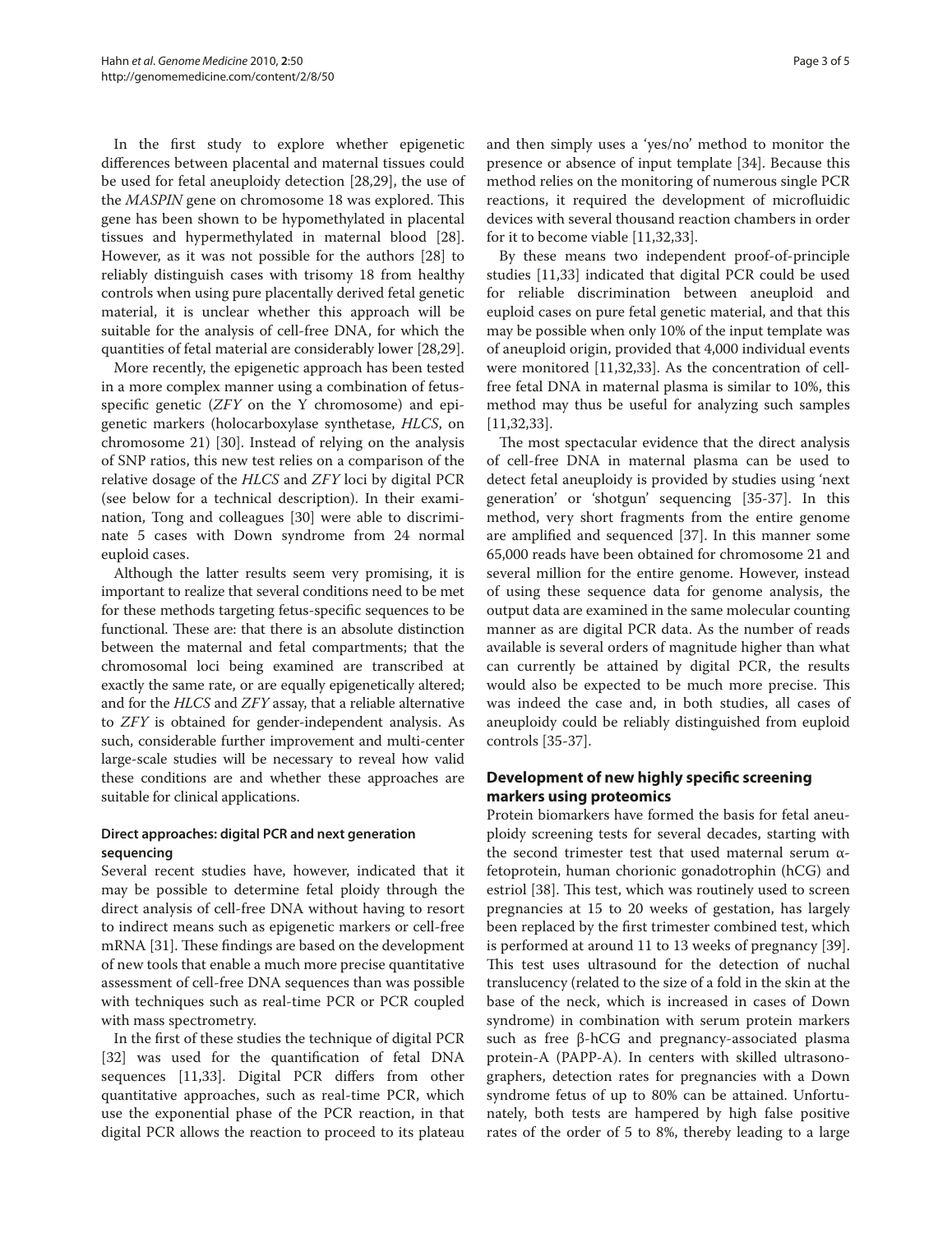In the first study to explore whether epigenetic differences between placental and maternal tissues could be used for fetal aneuploidy detection [28,29], the use of the *MASPIN* gene on chromosome 18 was explored. This gene has been shown to be hypomethylated in placental tissues and hypermethylated in maternal blood [28]. However, as it was not possible for the authors [28] to reliably distinguish cases with trisomy 18 from healthy controls when using pure placentally derived fetal genetic material, it is unclear whether this approach will be suitable for the analysis of cell-free DNA, for which the quantities of fetal material are considerably lower [28,29].

More recently, the epigenetic approach has been tested in a more complex manner using a combination of fetusspecific genetic (*ZFY* on the Y chromosome) and epigenetic markers (holocarboxylase synthetase, *HLCS*, on chromosome 21) [30]. Instead of relying on the analysis of SNP ratios, this new test relies on a comparison of the relative dosage of the *HLCS* and *ZFY* loci by digital PCR (see below for a technical description). In their examination, Tong and colleagues [30] were able to discriminate 5 cases with Down syndrome from 24 normal euploid cases.

Although the latter results seem very promising, it is important to realize that several conditions need to be met for these methods targeting fetus-specific sequences to be functional. These are: that there is an absolute distinction between the maternal and fetal compartments; that the chromosomal loci being examined are transcribed at exactly the same rate, or are equally epigenetically altered; and for the *HLCS* and *ZFY* assay, that a reliable alternative to *ZFY* is obtained for gender-independent analysis. As such, considerable further improvement and multi-center large-scale studies will be necessary to reveal how valid these conditions are and whether these approaches are suitable for clinical applications.

## **Direct approaches: digital PCR and next generation sequencing**

Several recent studies have, however, indicated that it may be possible to determine fetal ploidy through the direct analysis of cell-free DNA without having to resort to indirect means such as epigenetic markers or cell-free mRNA [31]. These findings are based on the development of new tools that enable a much more precise quantitative assessment of cell-free DNA sequences than was possible with techniques such as real-time PCR or PCR coupled with mass spectrometry.

In the first of these studies the technique of digital PCR [32] was used for the quantification of fetal DNA sequences [11,33]. Digital PCR differs from other quantitative approaches, such as real-time PCR, which use the exponential phase of the PCR reaction, in that digital PCR allows the reaction to proceed to its plateau and then simply uses a 'yes/no' method to monitor the presence or absence of input template [34]. Because this method relies on the monitoring of numerous single PCR reactions, it required the development of microfluidic devices with several thousand reaction chambers in order for it to become viable [11,32,33].

By these means two independent proof-of-principle studies [11,33] indicated that digital PCR could be used for reliable discrimination between aneuploid and euploid cases on pure fetal genetic material, and that this may be possible when only 10% of the input template was of aneuploid origin, provided that 4,000 individual events were monitored [11,32,33]. As the concentration of cellfree fetal DNA in maternal plasma is similar to 10%, this method may thus be useful for analyzing such samples [11,32,33].

The most spectacular evidence that the direct analysis of cell-free DNA in maternal plasma can be used to detect fetal aneuploidy is provided by studies using 'next generation' or 'shotgun' sequencing [35-37]. In this method, very short fragments from the entire genome are amplified and sequenced [37]. In this manner some 65,000 reads have been obtained for chromosome 21 and several million for the entire genome. However, instead of using these sequence data for genome analysis, the output data are examined in the same molecular counting manner as are digital PCR data. As the number of reads available is several orders of magnitude higher than what can currently be attained by digital PCR, the results would also be expected to be much more precise. This was indeed the case and, in both studies, all cases of aneuploidy could be reliably distinguished from euploid controls [35-37].

## **Development of new highly specific screening markers using proteomics**

Protein biomarkers have formed the basis for fetal aneuploidy screening tests for several decades, starting with the second trimester test that used maternal serum  $α$ fetoprotein, human chorionic gonadotrophin (hCG) and estriol [38]. This test, which was routinely used to screen pregnancies at 15 to 20 weeks of gestation, has largely been replaced by the first trimester combined test, which is performed at around 11 to 13 weeks of pregnancy [39]. This test uses ultrasound for the detection of nuchal translucency (related to the size of a fold in the skin at the base of the neck, which is increased in cases of Down syndrome) in combination with serum protein markers such as free β-hCG and pregnancy-associated plasma protein-A (PAPP-A). In centers with skilled ultrasonographers, detection rates for pregnancies with a Down syndrome fetus of up to 80% can be attained. Unfortunately, both tests are hampered by high false positive rates of the order of 5 to 8%, thereby leading to a large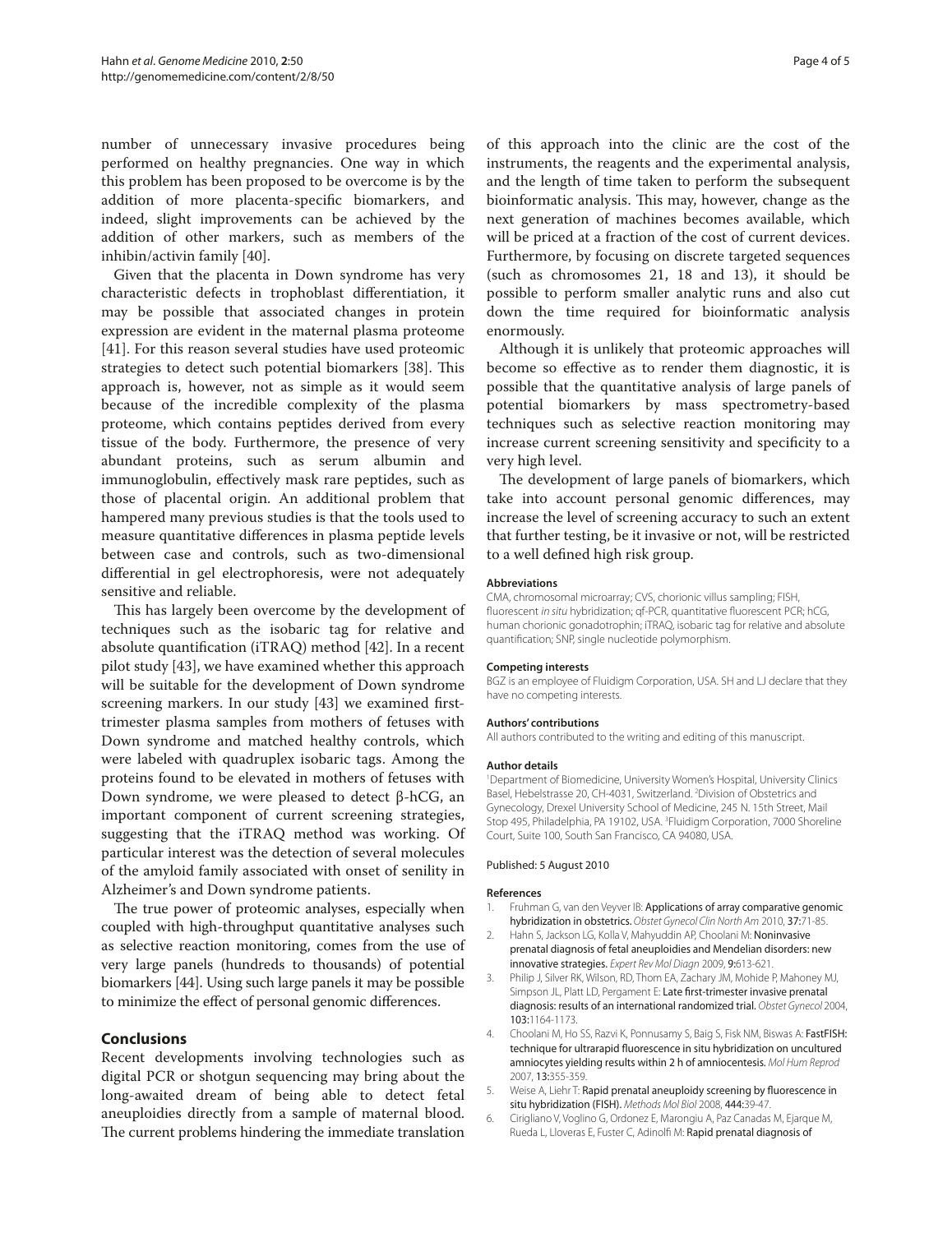number of unnecessary invasive procedures being performed on healthy pregnancies. One way in which this problem has been proposed to be overcome is by the addition of more placenta-specific biomarkers, and indeed, slight improvements can be achieved by the addition of other markers, such as members of the inhibin/activin family [40].

Given that the placenta in Down syndrome has very characteristic defects in trophoblast differentiation, it may be possible that associated changes in protein expression are evident in the maternal plasma proteome [41]. For this reason several studies have used proteomic strategies to detect such potential biomarkers [38]. This approach is, however, not as simple as it would seem because of the incredible complexity of the plasma proteome, which contains peptides derived from every tissue of the body. Furthermore, the presence of very abundant proteins, such as serum albumin and immunoglobulin, effectively mask rare peptides, such as those of placental origin. An additional problem that hampered many previous studies is that the tools used to measure quantitative differences in plasma peptide levels between case and controls, such as two-dimensional differential in gel electrophoresis, were not adequately sensitive and reliable.

This has largely been overcome by the development of techniques such as the isobaric tag for relative and absolute quantification (iTRAQ) method [42]. In a recent pilot study [43], we have examined whether this approach will be suitable for the development of Down syndrome screening markers. In our study [43] we examined firsttrimester plasma samples from mothers of fetuses with Down syndrome and matched healthy controls, which were labeled with quadruplex isobaric tags. Among the proteins found to be elevated in mothers of fetuses with Down syndrome, we were pleased to detect β-hCG, an important component of current screening strategies, suggesting that the iTRAQ method was working. Of particular interest was the detection of several molecules of the amyloid family associated with onset of senility in Alzheimer's and Down syndrome patients.

The true power of proteomic analyses, especially when coupled with high-throughput quantitative analyses such as selective reaction monitoring, comes from the use of very large panels (hundreds to thousands) of potential biomarkers [44]. Using such large panels it may be possible to minimize the effect of personal genomic differences.

## **Conclusions**

Recent developments involving technologies such as digital PCR or shotgun sequencing may bring about the long-awaited dream of being able to detect fetal aneuploidies directly from a sample of maternal blood. The current problems hindering the immediate translation

of this approach into the clinic are the cost of the instruments, the reagents and the experimental analysis, and the length of time taken to perform the subsequent bioinformatic analysis. This may, however, change as the next generation of machines becomes available, which will be priced at a fraction of the cost of current devices. Furthermore, by focusing on discrete targeted sequences (such as chromosomes 21, 18 and 13), it should be possible to perform smaller analytic runs and also cut down the time required for bioinformatic analysis enormously.

Although it is unlikely that proteomic approaches will become so effective as to render them diagnostic, it is possible that the quantitative analysis of large panels of potential biomarkers by mass spectrometry-based techniques such as selective reaction monitoring may increase current screening sensitivity and specificity to a very high level.

The development of large panels of biomarkers, which take into account personal genomic differences, may increase the level of screening accuracy to such an extent that further testing, be it invasive or not, will be restricted to a well defined high risk group.

#### **Abbreviations**

CMA, chromosomal microarray; CVS, chorionic villus sampling; FISH, fluorescent *in situ* hybridization; qf-PCR, quantitative fluorescent PCR; hCG, human chorionic gonadotrophin; iTRAQ, isobaric tag for relative and absolute quantification; SNP, single nucleotide polymorphism.

#### **Competing interests**

BGZ is an employee of Fluidigm Corporation, USA. SH and LJ declare that they have no competing interests.

#### **Authors' contributions**

All authors contributed to the writing and editing of this manuscript.

#### **Author details**

1 Department of Biomedicine, University Women's Hospital, University Clinics Basel, Hebelstrasse 20, CH-4031, Switzerland. 2 Division of Obstetrics and Gynecology, Drexel University School of Medicine, 245 N. 15th Street, Mail Stop 495, Philadelphia, PA 19102, USA. <sup>3</sup> Fluidigm Corporation, 7000 Shoreline Court, Suite 100, South San Francisco, CA 94080, USA.

#### Published: 5 August 2010

#### **References**

- 1. Fruhman G, van den Veyver IB: Applications of array comparative genomic hybridization in obstetrics. *Obstet Gynecol Clin North Am* 2010, 37:71-85.
- 2. Hahn S, Jackson LG, Kolla V, Mahyuddin AP, Choolani M: Noninvasive prenatal diagnosis of fetal aneuploidies and Mendelian disorders: new innovative strategies. *Expert Rev Mol Diagn* 2009, 9:613-621.
- Philip J, Silver RK, Wilson, RD, Thom EA, Zachary JM, Mohide P, Mahoney MJ, Simpson JL, Platt LD, Pergament E: Late first-trimester invasive prenatal diagnosis: results of an international randomized trial. *Obstet Gynecol* 2004, 103:1164-1173.
- 4. Choolani M, Ho SS, Razvi K, Ponnusamy S, Baig S, Fisk NM, Biswas A: FastFISH: technique for ultrarapid fluorescence in situ hybridization on uncultured amniocytes yielding results within 2 h of amniocentesis. *Mol Hum Reprod* 2007, 13:355-359.
- 5. Weise A, Liehr T: Rapid prenatal aneuploidy screening by fluorescence in situ hybridization (FISH). *Methods Mol Biol* 2008, 444:39-47.
- 6. Cirigliano V, Voglino G, Ordonez E, Marongiu A, Paz Canadas M, Ejarque M, Rueda L, Lloveras E, Fuster C, Adinolfi M: Rapid prenatal diagnosis of